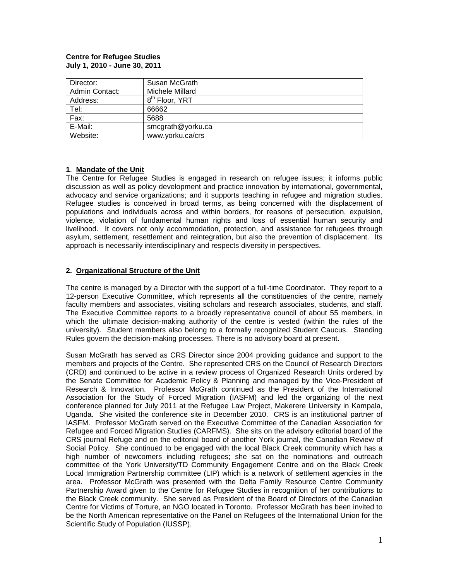#### **Centre for Refugee Studies July 1, 2010 - June 30, 2011**

| Director:      | Susan McGrath              |
|----------------|----------------------------|
| Admin Contact: | Michele Millard            |
| Address:       | 8 <sup>th</sup> Floor, YRT |
| Tel:           | 66662                      |
| Fax:           | 5688                       |
| E-Mail:        | smcgrath@yorku.ca          |
| Website:       | www.yorku.ca/crs           |

## **1**. **Mandate of the Unit**

The Centre for Refugee Studies is engaged in research on refugee issues; it informs public discussion as well as policy development and practice innovation by international, governmental, advocacy and service organizations; and it supports teaching in refugee and migration studies. Refugee studies is conceived in broad terms, as being concerned with the displacement of populations and individuals across and within borders, for reasons of persecution, expulsion, violence, violation of fundamental human rights and loss of essential human security and livelihood. It covers not only accommodation, protection, and assistance for refugees through asylum, settlement, resettlement and reintegration, but also the prevention of displacement. Its approach is necessarily interdisciplinary and respects diversity in perspectives.

## **2. Organizational Structure of the Unit**

The centre is managed by a Director with the support of a full-time Coordinator. They report to a 12-person Executive Committee, which represents all the constituencies of the centre, namely faculty members and associates, visiting scholars and research associates, students, and staff. The Executive Committee reports to a broadly representative council of about 55 members, in which the ultimate decision-making authority of the centre is vested (within the rules of the university). Student members also belong to a formally recognized Student Caucus. Standing Rules govern the decision-making processes. There is no advisory board at present.

Susan McGrath has served as CRS Director since 2004 providing guidance and support to the members and projects of the Centre. She represented CRS on the Council of Research Directors (CRD) and continued to be active in a review process of Organized Research Units ordered by the Senate Committee for Academic Policy & Planning and managed by the Vice-President of Research & Innovation. Professor McGrath continued as the President of the International Association for the Study of Forced Migration (IASFM) and led the organizing of the next conference planned for July 2011 at the Refugee Law Project, Makerere University in Kampala, Uganda. She visited the conference site in December 2010. CRS is an institutional partner of IASFM. Professor McGrath served on the Executive Committee of the Canadian Association for Refugee and Forced Migration Studies (CARFMS). She sits on the advisory editorial board of the CRS journal Refuge and on the editorial board of another York journal, the Canadian Review of Social Policy. She continued to be engaged with the local Black Creek community which has a high number of newcomers including refugees; she sat on the nominations and outreach committee of the York University/TD Community Engagement Centre and on the Black Creek Local Immigration Partnership committee (LIP) which is a network of settlement agencies in the area. Professor McGrath was presented with the Delta Family Resource Centre Community Partnership Award given to the Centre for Refugee Studies in recognition of her contributions to the Black Creek community. She served as President of the Board of Directors of the Canadian Centre for Victims of Torture, an NGO located in Toronto. Professor McGrath has been invited to be the North American representative on the Panel on Refugees of the International Union for the Scientific Study of Population (IUSSP).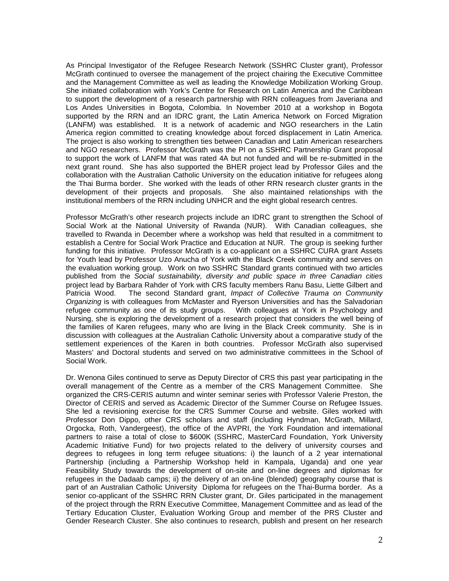As Principal Investigator of the Refugee Research Network (SSHRC Cluster grant), Professor McGrath continued to oversee the management of the project chairing the Executive Committee and the Management Committee as well as leading the Knowledge Mobilization Working Group. She initiated collaboration with York's Centre for Research on Latin America and the Caribbean to support the development of a research partnership with RRN colleagues from Javeriana and Los Andes Universities in Bogota, Colombia. In November 2010 at a workshop in Bogota supported by the RRN and an IDRC grant, the Latin America Network on Forced Migration (LANFM) was established. It is a network of academic and NGO researchers in the Latin America region committed to creating knowledge about forced displacement in Latin America. The project is also working to strengthen ties between Canadian and Latin American researchers and NGO researchers. Professor McGrath was the PI on a SSHRC Partnership Grant proposal to support the work of LANFM that was rated 4A but not funded and will be re-submitted in the next grant round. She has also supported the BHER project lead by Professor Giles and the collaboration with the Australian Catholic University on the education initiative for refugees along the Thai Burma border. She worked with the leads of other RRN research cluster grants in the development of their projects and proposals. She also maintained relationships with the institutional members of the RRN including UNHCR and the eight global research centres.

Professor McGrath's other research projects include an IDRC grant to strengthen the School of Social Work at the National University of Rwanda (NUR). With Canadian colleagues, she travelled to Rwanda in December where a workshop was held that resulted in a commitment to establish a Centre for Social Work Practice and Education at NUR. The group is seeking further funding for this initiative. Professor McGrath is a co-applicant on a SSHRC CURA grant Assets for Youth lead by Professor Uzo Anucha of York with the Black Creek community and serves on the evaluation working group. Work on two SSHRC Standard grants continued with two articles published from the *Social sustainability, diversity and public space in three Canadian cities* project lead by Barbara Rahder of York with CRS faculty members Ranu Basu, Liette Gilbert and<br>Patricia Wood. The second Standard grant, *Impact of Collective Trauma on Community* The second Standard grant, *Impact of Collective Trauma on Community Organizing* is with colleagues from McMaster and Ryerson Universities and has the Salvadorian refugee community as one of its study groups. With colleagues at York in Psychology and Nursing, she is exploring the development of a research project that considers the well being of the families of Karen refugees, many who are living in the Black Creek community. She is in discussion with colleagues at the Australian Catholic University about a comparative study of the settlement experiences of the Karen in both countries. Professor McGrath also supervised Masters' and Doctoral students and served on two administrative committees in the School of Social Work.

Dr. Wenona Giles continued to serve as Deputy Director of CRS this past year participating in the overall management of the Centre as a member of the CRS Management Committee. She organized the CRS-CERIS autumn and winter seminar series with Professor Valerie Preston, the Director of CERIS and served as Academic Director of the Summer Course on Refugee Issues. She led a revisioning exercise for the CRS Summer Course and website. Giles worked with Professor Don Dippo, other CRS scholars and staff (including Hyndman, McGrath, Millard, Orgocka, Roth, Vandergeest), the office of the AVPRI, the York Foundation and international partners to raise a total of close to \$600K (SSHRC, MasterCard Foundation, York University Academic Initiative Fund) for two projects related to the delivery of university courses and degrees to refugees in long term refugee situations: i) the launch of a 2 year international Partnership (including a Partnership Workshop held in Kampala, Uganda) and one year Feasibility Study towards the development of on-site and on-line degrees and diplomas for refugees in the Dadaab camps; ii) the delivery of an on-line (blended) geography course that is part of an Australian Catholic University Diploma for refugees on the Thai-Burma border. As a senior co-applicant of the SSHRC RRN Cluster grant, Dr. Giles participated in the management of the project through the RRN Executive Committee, Management Committee and as lead of the Tertiary Education Cluster, Evaluation Working Group and member of the PRS Cluster and Gender Research Cluster. She also continues to research, publish and present on her research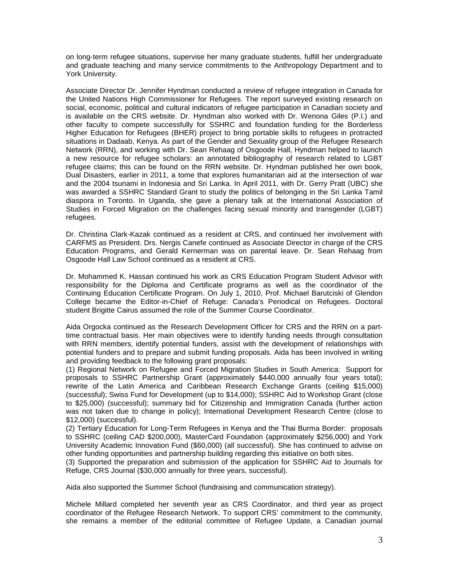on long-term refugee situations, supervise her many graduate students, fulfill her undergraduate and graduate teaching and many service commitments to the Anthropology Department and to York University.

Associate Director Dr. Jennifer Hyndman conducted a review of refugee integration in Canada for the United Nations High Commissioner for Refugees. The report surveyed existing research on social, economic, political and cultural indicators of refugee participation in Canadian society and is available on the CRS website. Dr. Hyndman also worked with Dr. Wenona Giles (P.I.) and other faculty to compete successfully for SSHRC and foundation funding for the Borderless Higher Education for Refugees (BHER) project to bring portable skills to refugees in protracted situations in Dadaab, Kenya. As part of the Gender and Sexuality group of the Refugee Research Network (RRN), and working with Dr. Sean Rehaag of Osgoode Hall, Hyndman helped to launch a new resource for refugee scholars: an annotated bibliography of research related to LGBT refugee claims; this can be found on the RRN website. Dr. Hyndman published her own book, Dual Disasters, earlier in 2011, a tome that explores humanitarian aid at the intersection of war and the 2004 tsunami in Indonesia and Sri Lanka. In April 2011, with Dr. Gerry Pratt (UBC) she was awarded a SSHRC Standard Grant to study the politics of belonging in the Sri Lanka Tamil diaspora in Toronto. In Uganda, she gave a plenary talk at the International Association of Studies in Forced Migration on the challenges facing sexual minority and transgender (LGBT) refugees.

Dr. Christina Clark-Kazak continued as a resident at CRS, and continued her involvement with CARFMS as President. Drs. Nergis Canefe continued as Associate Director in charge of the CRS Education Programs, and Gerald Kernerman was on parental leave. Dr. Sean Rehaag from Osgoode Hall Law School continued as a resident at CRS.

Dr. Mohammed K. Hassan continued his work as CRS Education Program Student Advisor with responsibility for the Diploma and Certificate programs as well as the coordinator of the Continuing Education Certificate Program. On July 1, 2010, Prof. Michael Barutciski of Glendon College became the Editor-in-Chief of Refuge: Canada's Periodical on Refugees. Doctoral student Brigitte Cairus assumed the role of the Summer Course Coordinator.

Aida Orgocka continued as the Research Development Officer for CRS and the RRN on a parttime contractual basis. Her main objectives were to identify funding needs through consultation with RRN members, identify potential funders, assist with the development of relationships with potential funders and to prepare and submit funding proposals. Aida has been involved in writing and providing feedback to the following grant proposals:

(1) Regional Network on Refugee and Forced Migration Studies in South America: Support for proposals to SSHRC Partnership Grant (approximately \$440,000 annually four years total); rewrite of the Latin America and Caribbean Research Exchange Grants (ceiling \$15,000) (successful); Swiss Fund for Development (up to \$14,000); SSHRC Aid to Workshop Grant (close to \$25,000) (successful); summary bid for Citizenship and Immigration Canada (further action was not taken due to change in policy); International Development Research Centre (close to \$12,000) (successful).

(2) Tertiary Education for Long-Term Refugees in Kenya and the Thai Burma Border: proposals to SSHRC (ceiling CAD \$200,000), MasterCard Foundation (approximately \$256,000) and York University Academic Innovation Fund (\$60,000) (all successful). She has continued to advise on other funding opportunities and partnership building regarding this initiative on both sites.

(3) Supported the preparation and submission of the application for SSHRC Aid to Journals for Refuge, CRS Journal (\$30,000 annually for three years, successful).

Aida also supported the Summer School (fundraising and communication strategy).

Michele Millard completed her seventh year as CRS Coordinator, and third year as project coordinator of the Refugee Research Network. To support CRS' commitment to the community, she remains a member of the editorial committee of Refugee Update, a Canadian journal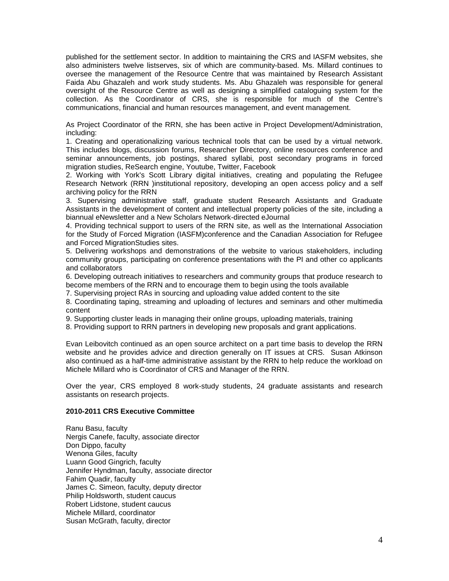published for the settlement sector. In addition to maintaining the CRS and IASFM websites, she also administers twelve listserves, six of which are community-based. Ms. Millard continues to oversee the management of the Resource Centre that was maintained by Research Assistant Faida Abu Ghazaleh and work study students. Ms. Abu Ghazaleh was responsible for general oversight of the Resource Centre as well as designing a simplified cataloguing system for the collection. As the Coordinator of CRS, she is responsible for much of the Centre's communications, financial and human resources management, and event management.

As Project Coordinator of the RRN, she has been active in Project Development/Administration, including:

1. Creating and operationalizing various technical tools that can be used by a virtual network. This includes blogs, discussion forums, Researcher Directory, online resources conference and seminar announcements, job postings, shared syllabi, post secondary programs in forced migration studies, ReSearch engine, Youtube, Twitter, Facebook

2. Working with York's Scott Library digital initiatives, creating and populating the Refugee Research Network (RRN )institutional repository, developing an open access policy and a self archiving policy for the RRN

3. Supervising administrative staff, graduate student Research Assistants and Graduate Assistants in the development of content and intellectual property policies of the site, including a biannual eNewsletter and a New Scholars Network-directed eJournal

4. Providing technical support to users of the RRN site, as well as the International Association for the Study of Forced Migration (IASFM)conference and the Canadian Association for Refugee and Forced MigrationStudies sites.

5. Delivering workshops and demonstrations of the website to various stakeholders, including community groups, participating on conference presentations with the PI and other co applicants and collaborators

6. Developing outreach initiatives to researchers and community groups that produce research to become members of the RRN and to encourage them to begin using the tools available

7. Supervising project RAs in sourcing and uploading value added content to the site

8. Coordinating taping, streaming and uploading of lectures and seminars and other multimedia content

9. Supporting cluster leads in managing their online groups, uploading materials, training

8. Providing support to RRN partners in developing new proposals and grant applications.

Evan Leibovitch continued as an open source architect on a part time basis to develop the RRN website and he provides advice and direction generally on IT issues at CRS. Susan Atkinson also continued as a half-time administrative assistant by the RRN to help reduce the workload on Michele Millard who is Coordinator of CRS and Manager of the RRN.

Over the year, CRS employed 8 work-study students, 24 graduate assistants and research assistants on research projects.

### **2010-2011 CRS Executive Committee**

Ranu Basu, faculty Nergis Canefe, faculty, associate director Don Dippo, faculty Wenona Giles, faculty Luann Good Gingrich, faculty Jennifer Hyndman, faculty, associate director Fahim Quadir, faculty James C. Simeon, faculty, deputy director Philip Holdsworth, student caucus Robert Lidstone, student caucus Michele Millard, coordinator Susan McGrath, faculty, director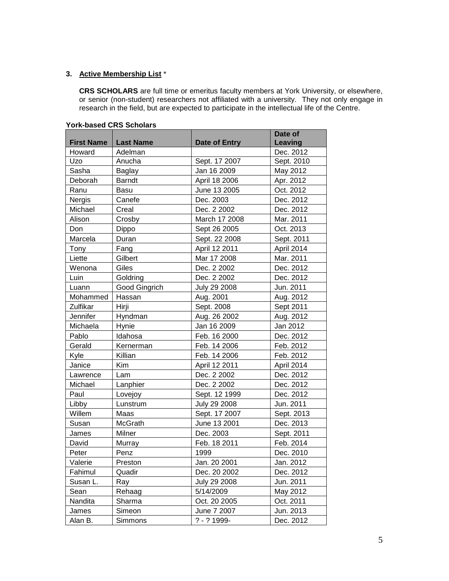# **3. Active Membership List** \*

**CRS SCHOLARS** are full time or emeritus faculty members at York University, or elsewhere, or senior (non-student) researchers not affiliated with a university. They not only engage in research in the field, but are expected to participate in the intellectual life of the Centre.

| <b>First Name</b> | <b>Last Name</b>     | Date of Entry  | Date of<br>Leaving |
|-------------------|----------------------|----------------|--------------------|
| Howard            | Adelman              |                | Dec. 2012          |
| Uzo               | Anucha               | Sept. 17 2007  | Sept. 2010         |
| Sasha             | Baglay               | Jan 16 2009    | May 2012           |
| Deborah           | <b>Barndt</b>        | April 18 2006  | Apr. 2012          |
| Ranu              | Basu                 | June 13 2005   | Oct. 2012          |
| Nergis            | Canefe               | Dec. 2003      | Dec. 2012          |
| Michael           | Creal                | Dec. 2 2002    | Dec. 2012          |
| Alison            | Crosby               | March 17 2008  | Mar. 2011          |
| Don               | Dippo                | Sept 26 2005   | Oct. 2013          |
| Marcela           | Duran                | Sept. 22 2008  | Sept. 2011         |
| Tony              | Fang                 | April 12 2011  | April 2014         |
| Liette            | Gilbert              | Mar 17 2008    | Mar. 2011          |
| Wenona            | Giles                | Dec. 2 2002    | Dec. 2012          |
| Luin              | Goldring             | Dec. 2 2002    | Dec. 2012          |
| Luann             | <b>Good Gingrich</b> | July 29 2008   | Jun. 2011          |
| Mohammed          | Hassan               | Aug. 2001      | Aug. 2012          |
| Zulfikar          | Hirji                | Sept. 2008     | Sept 2011          |
| Jennifer          | Hyndman              | Aug. 26 2002   | Aug. 2012          |
| Michaela          | Hynie                | Jan 16 2009    | Jan 2012           |
| Pablo             | Idahosa              | Feb. 16 2000   | Dec. 2012          |
| Gerald            | Kernerman            | Feb. 14 2006   | Feb. 2012          |
| Kyle              | Killian              | Feb. 14 2006   | Feb. 2012          |
| Janice            | Kim                  | April 12 2011  | April 2014         |
| Lawrence          | Lam                  | Dec. 2 2002    | Dec. 2012          |
| Michael           | Lanphier             | Dec. 2 2002    | Dec. 2012          |
| Paul              | Lovejoy              | Sept. 12 1999  | Dec. 2012          |
| Libby             | Lunstrum             | July 29 2008   | Jun. 2011          |
| Willem            | Maas                 | Sept. 17 2007  | Sept. 2013         |
| Susan             | McGrath              | June 13 2001   | Dec. 2013          |
| James             | Milner               | Dec. 2003      | Sept. 2011         |
| David             | Murray               | Feb. 18 2011   | Feb. 2014          |
| Peter             | Penz                 | 1999           | Dec. 2010          |
| Valerie           | Preston              | Jan. 20 2001   | Jan. 2012          |
| Fahimul           | Quadir               | Dec. 20 2002   | Dec. 2012          |
| Susan L.          | Ray                  | July 29 2008   | Jun. 2011          |
| Sean              | Rehaag               | 5/14/2009      | May 2012           |
| Nandita           | Sharma               | Oct. 20 2005   | Oct. 2011          |
| James             | Simeon               | June 7 2007    | Jun. 2013          |
| Alan B.           | Simmons              | $? - ? 1999 -$ | Dec. 2012          |

#### **York-based CRS Scholars**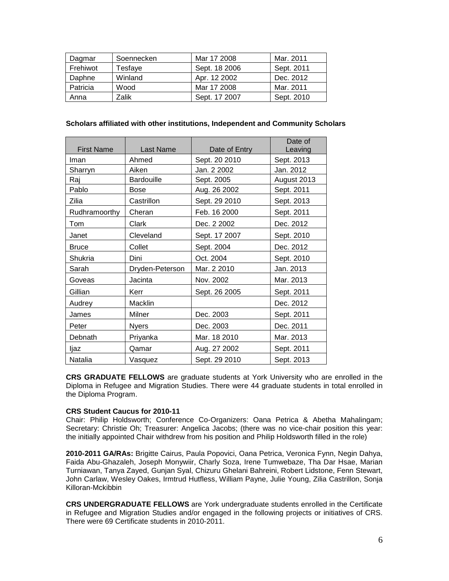| Dagmar   | Soennecken | Mar 17 2008   | Mar. 2011  |
|----------|------------|---------------|------------|
| Frehiwot | Tesfaye    | Sept. 18 2006 | Sept. 2011 |
| Daphne   | Winland    | Apr. 12 2002  | Dec. 2012  |
| Patricia | Wood       | Mar 17 2008   | Mar. 2011  |
| Anna     | Zalik      | Sept. 17 2007 | Sept. 2010 |

## **Scholars affiliated with other institutions, Independent and Community Scholars**

| <b>First Name</b> | Last Name       | Date of Entry | Date of<br>Leaving |
|-------------------|-----------------|---------------|--------------------|
| Iman              | Ahmed           | Sept. 20 2010 | Sept. 2013         |
|                   | Aiken           | Jan. 2 2002   | Jan. 2012          |
| Sharryn           | Bardouille      | Sept. 2005    | August 2013        |
| Raj               |                 |               |                    |
| Pablo             | <b>Bose</b>     | Aug. 26 2002  | Sept. 2011         |
| Zilia             | Castrillon      | Sept. 29 2010 | Sept. 2013         |
| Rudhramoorthy     | Cheran          | Feb. 16 2000  | Sept. 2011         |
| Tom               | Clark           | Dec. 2 2002   | Dec. 2012          |
| Janet             | Cleveland       | Sept. 17 2007 | Sept. 2010         |
| <b>Bruce</b>      | Collet          | Sept. 2004    | Dec. 2012          |
| Shukria           | Dini            | Oct. 2004     | Sept. 2010         |
| Sarah             | Dryden-Peterson | Mar. 2 2010   | Jan. 2013          |
| Goveas            | Jacinta         | Nov. 2002     | Mar. 2013          |
| Gillian           | Kerr            | Sept. 26 2005 | Sept. 2011         |
| Audrey            | Macklin         |               | Dec. 2012          |
| James             | Milner          | Dec. 2003     | Sept. 2011         |
| Peter             | <b>Nyers</b>    | Dec. 2003     | Dec. 2011          |
| Debnath           | Priyanka        | Mar. 18 2010  | Mar. 2013          |
| ljaz              | Qamar           | Aug. 27 2002  | Sept. 2011         |
| Natalia           | Vasquez         | Sept. 29 2010 | Sept. 2013         |

**CRS GRADUATE FELLOWS** are graduate students at York University who are enrolled in the Diploma in Refugee and Migration Studies. There were 44 graduate students in total enrolled in the Diploma Program.

#### **CRS Student Caucus for 2010-11**

Chair: Philip Holdsworth; Conference Co-Organizers: Oana Petrica & Abetha Mahalingam; Secretary: Christie Oh; Treasurer: Angelica Jacobs; (there was no vice-chair position this year: the initially appointed Chair withdrew from his position and Philip Holdsworth filled in the role)

**2010-2011 GA/RAs:** Brigitte Cairus, Paula Popovici, Oana Petrica, Veronica Fynn, Negin Dahya, Faida Abu-Ghazaleh, Joseph Monywiir, Charly Soza, Irene Tumwebaze, Tha Dar Hsae, Marian Turniawan, Tanya Zayed, Gunjan Syal, Chizuru Ghelani Bahreini, Robert Lidstone, Fenn Stewart, John Carlaw, Wesley Oakes, Irmtrud Hutfless, William Payne, Julie Young, Zilia Castrillon, Sonja Killoran-Mckibbin

**CRS UNDERGRADUATE FELLOWS** are York undergraduate students enrolled in the Certificate in Refugee and Migration Studies and/or engaged in the following projects or initiatives of CRS. There were 69 Certificate students in 2010-2011.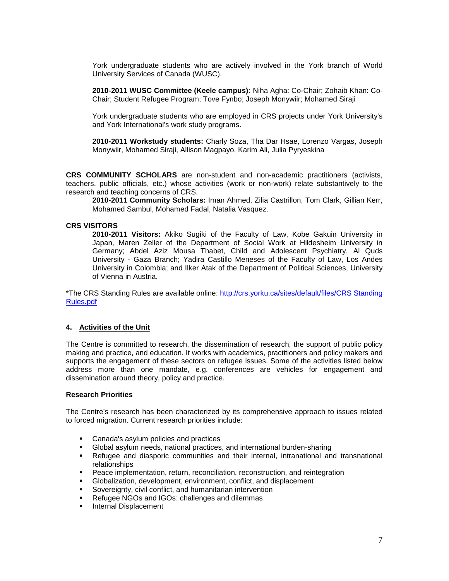York undergraduate students who are actively involved in the York branch of World University Services of Canada (WUSC).

**2010-2011 WUSC Committee (Keele campus):** Niha Agha: Co-Chair; Zohaib Khan: Co-Chair; Student Refugee Program; Tove Fynbo; Joseph Monywiir; Mohamed Siraji

York undergraduate students who are employed in CRS projects under York University's and York International's work study programs.

**2010-2011 Workstudy students:** Charly Soza, Tha Dar Hsae, Lorenzo Vargas, Joseph Monywiir, Mohamed Siraji, Allison Magpayo, Karim Ali, Julia Pyryeskina

**CRS COMMUNITY SCHOLARS** are non-student and non-academic practitioners (activists, teachers, public officials, etc.) whose activities (work or non-work) relate substantively to the research and teaching concerns of CRS.

**2010-2011 Community Scholars:** Iman Ahmed, Zilia Castrillon, Tom Clark, Gillian Kerr, Mohamed Sambul, Mohamed Fadal, Natalia Vasquez.

## **CRS VISITORS**

**2010-2011 Visitors:** Akiko Sugiki of the Faculty of Law, Kobe Gakuin University in Japan, Maren Zeller of the Department of Social Work at Hildesheim University in Germany; Abdel Aziz Mousa Thabet, Child and Adolescent Psychiatry, Al Quds University - Gaza Branch; Yadira Castillo Meneses of the Faculty of Law, Los Andes University in Colombia; and Ilker Atak of the Department of Political Sciences, University of Vienna in Austria.

\*The CRS Standing Rules are available online: [http://crs.yorku.ca/sites/default/files/CRS Standing](http://crs.yorku.ca/sites/default/files/CRS%20Standing%20Rules.pdf)  [Rules.pdf](http://crs.yorku.ca/sites/default/files/CRS%20Standing%20Rules.pdf)

#### **4. Activities of the Unit**

The Centre is committed to research, the dissemination of research, the support of public policy making and practice, and education. It works with academics, practitioners and policy makers and supports the engagement of these sectors on refugee issues. Some of the activities listed below address more than one mandate, e.g. conferences are vehicles for engagement and dissemination around theory, policy and practice.

#### **Research Priorities**

The Centre's research has been characterized by its comprehensive approach to issues related to forced migration. Current research priorities include:

- **Canada's asylum policies and practices**
- Global asylum needs, national practices, and international burden-sharing
- Refugee and diasporic communities and their internal, intranational and transnational relationships
- **Peace implementation, return, reconciliation, reconstruction, and reintegration**<br> **Clobalization, development, environment, conflict, and displacement**
- Globalization, development, environment, conflict, and displacement
- Sovereignty, civil conflict, and humanitarian intervention
- Refugee NGOs and IGOs: challenges and dilemmas
- **Internal Displacement**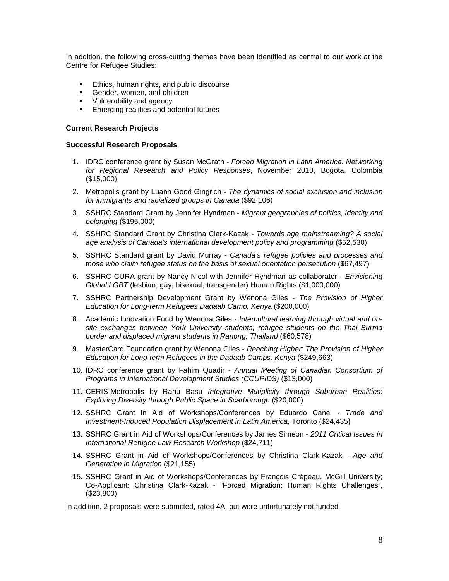In addition, the following cross-cutting themes have been identified as central to our work at the Centre for Refugee Studies:

- **Ethics, human rights, and public discourse**
- **Gender, women, and children**
- **v** Vulnerability and agency
- **Emerging realities and potential futures**

#### **Current Research Projects**

#### **Successful Research Proposals**

- 1. IDRC conference grant by Susan McGrath *Forced Migration in Latin America: Networking for Regional Research and Policy Responses*, November 2010, Bogota, Colombia (\$15,000)
- 2. Metropolis grant by Luann Good Gingrich *The dynamics of social exclusion and inclusion for immigrants and racialized groups in Canada* (\$92,106)
- 3. SSHRC Standard Grant by Jennifer Hyndman *Migrant geographies of politics, identity and belonging* (\$195,000)
- 4. SSHRC Standard Grant by Christina Clark-Kazak *Towards age mainstreaming? A social age analysis of Canada's international development policy and programming* (\$52,530)
- 5. SSHRC Standard grant by David Murray *Canada's refugee policies and processes and those who claim refugee status on the basis of sexual orientation persecution* (\$67,497)
- 6. SSHRC CURA grant by Nancy Nicol with Jennifer Hyndman as collaborator *Envisioning Global LGBT* (lesbian, gay, bisexual, transgender) Human Rights (\$1,000,000)
- 7. SSHRC Partnership Development Grant by Wenona Giles *The Provision of Higher Education for Long-term Refugees Dadaab Camp, Kenya* (\$200,000)
- 8. Academic Innovation Fund by Wenona Giles *Intercultural learning through virtual and onsite exchanges between York University students, refugee students on the Thai Burma border and displaced migrant students in Ranong, Thailand* (\$60,578)
- 9. MasterCard Foundation grant by Wenona Giles *Reaching Higher: The Provision of Higher Education for Long-term Refugees in the Dadaab Camps, Kenya* (\$249,663)
- 10. IDRC conference grant by Fahim Quadir *Annual Meeting of Canadian Consortium of Programs in International Development Studies (CCUPIDS)* (\$13,000)
- 11. CERIS-Metropolis by Ranu Basu *Integrative Mutiplicity through Suburban Realities: Exploring Diversity through Public Space in Scarborough* (\$20,000)
- 12. SSHRC Grant in Aid of Workshops/Conferences by Eduardo Canel *Trade and Investment-Induced Population Displacement in Latin America, Toronto (\$24,435)*
- 13. SSHRC Grant in Aid of Workshops/Conferences by James Simeon *2011 Critical Issues in International Refugee Law Research Workshop* (\$24,711)
- 14. SSHRC Grant in Aid of Workshops/Conferences by Christina Clark-Kazak *Age and Generation in Migration* (\$21,155)
- 15. SSHRC Grant in Aid of Workshops/Conferences by François Crépeau, McGill University; Co-Applicant: Christina Clark-Kazak - "Forced Migration: Human Rights Challenges", (\$23,800)

In addition, 2 proposals were submitted, rated 4A, but were unfortunately not funded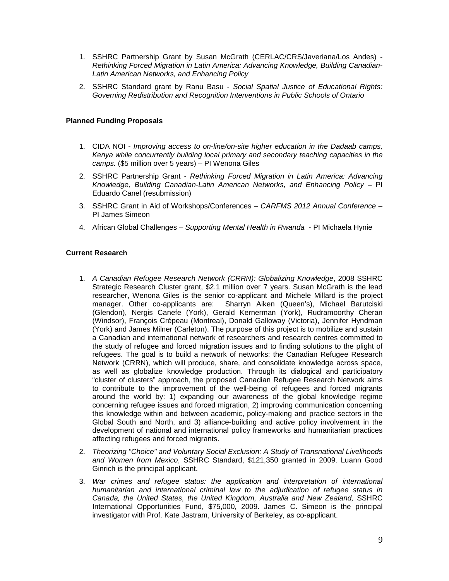- 1. SSHRC Partnership Grant by Susan McGrath (CERLAC/CRS/Javeriana/Los Andes) *Rethinking Forced Migration in Latin America: Advancing Knowledge, Building Canadian-Latin American Networks, and Enhancing Policy*
- 2. SSHRC Standard grant by Ranu Basu *Social Spatial Justice of Educational Rights: Governing Redistribution and Recognition Interventions in Public Schools of Ontario*

## **Planned Funding Proposals**

- 1. CIDA NOI *Improving access to on-line/on-site higher education in the Dadaab camps, Kenya while concurrently building local primary and secondary teaching capacities in the camps.* (\$5 million over 5 years) – PI Wenona Giles
- 2. SSHRC Partnership Grant *Rethinking Forced Migration in Latin America: Advancing Knowledge, Building Canadian-Latin American Networks, and Enhancing Policy* – PI Eduardo Canel (resubmission)
- 3. SSHRC Grant in Aid of Workshops/Conferences *CARFMS 2012 Annual Conference* PI James Simeon
- 4. African Global Challenges *Supporting Mental Health in Rwanda* PI Michaela Hynie

## **Current Research**

- 1. *A Canadian Refugee Research Network (CRRN): Globalizing Knowledge*, 2008 SSHRC Strategic Research Cluster grant, \$2.1 million over 7 years. Susan McGrath is the lead researcher, Wenona Giles is the senior co-applicant and Michele Millard is the project manager. Other co-applicants are: Sharryn Aiken (Queen's), Michael Barutciski (Glendon), Nergis Canefe (York), Gerald Kernerman (York), Rudramoorthy Cheran (Windsor), François Crépeau (Montreal), Donald Galloway (Victoria), Jennifer Hyndman (York) and James Milner (Carleton). The purpose of this project is to mobilize and sustain a Canadian and international network of researchers and research centres committed to the study of refugee and forced migration issues and to finding solutions to the plight of refugees. The goal is to build a network of networks: the Canadian Refugee Research Network (CRRN), which will produce, share, and consolidate knowledge across space, as well as globalize knowledge production. Through its dialogical and participatory "cluster of clusters" approach, the proposed Canadian Refugee Research Network aims to contribute to the improvement of the well-being of refugees and forced migrants around the world by: 1) expanding our awareness of the global knowledge regime concerning refugee issues and forced migration, 2) improving communication concerning this knowledge within and between academic, policy-making and practice sectors in the Global South and North, and 3) alliance-building and active policy involvement in the development of national and international policy frameworks and humanitarian practices affecting refugees and forced migrants.
- 2. *Theorizing "Choice" and Voluntary Social Exclusion: A Study of Transnational Livelihoods and Women from Mexico*, SSHRC Standard, \$121,350 granted in 2009. Luann Good Ginrich is the principal applicant.
- 3. *War crimes and refugee status: the application and interpretation of international humanitarian and international criminal law to the adjudication of refugee status in Canada, the United States, the United Kingdom, Australia and New Zealand,* SSHRC International Opportunities Fund, \$75,000, 2009. James C. Simeon is the principal investigator with Prof. Kate Jastram, University of Berkeley, as co-applicant.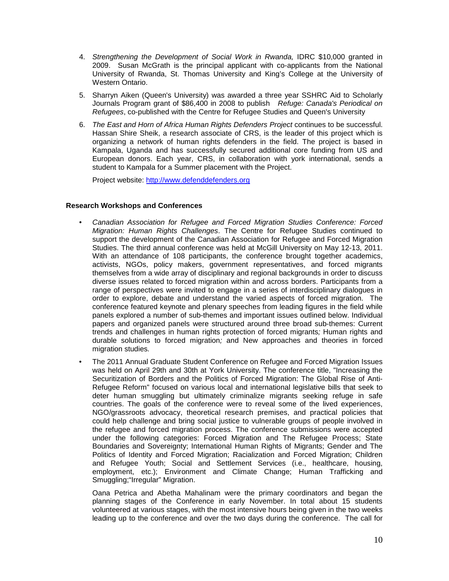- 4. *Strengthening the Development of Social Work in Rwanda,* IDRC \$10,000 granted in 2009. Susan McGrath is the principal applicant with co-applicants from the National University of Rwanda, St. Thomas University and King's College at the University of Western Ontario.
- 5. Sharryn Aiken (Queen's University) was awarded a three year SSHRC Aid to Scholarly Journals Program grant of \$86,400 in 2008 to publish *Refuge: Canada's Periodical on Refugees*, co-published with the Centre for Refugee Studies and Queen's University
- 6. *The East and Horn of Africa Human Rights Defenders Project* continues to be successful. Hassan Shire Sheik, a research associate of CRS, is the leader of this project which is organizing a network of human rights defenders in the field. The project is based in Kampala, Uganda and has successfully secured additional core funding from US and European donors. Each year, CRS, in collaboration with york international, sends a student to Kampala for a Summer placement with the Project.

Project website: [http://www.defenddefenders.org](http://www.defenddefenders.org/)

## **Research Workshops and Conferences**

- *Canadian Association for Refugee and Forced Migration Studies Conference: Forced Migration: Human Rights Challenges*. The Centre for Refugee Studies continued to support the development of the Canadian Association for Refugee and Forced Migration Studies. The third annual conference was held at McGill University on May 12-13, 2011. With an attendance of 108 participants, the conference brought together academics, activists, NGOs, policy makers, government representatives, and forced migrants themselves from a wide array of disciplinary and regional backgrounds in order to discuss diverse issues related to forced migration within and across borders. Participants from a range of perspectives were invited to engage in a series of interdisciplinary dialogues in order to explore, debate and understand the varied aspects of forced migration. The conference featured keynote and plenary speeches from leading figures in the field while panels explored a number of sub-themes and important issues outlined below. Individual papers and organized panels were structured around three broad sub-themes: Current trends and challenges in human rights protection of forced migrants*;* Human rights and durable solutions to forced migration*;* and New approaches and theories in forced migration studies*.*
- The 2011 Annual Graduate Student Conference on Refugee and Forced Migration Issues was held on April 29th and 30th at York University. The conference title, "Increasing the Securitization of Borders and the Politics of Forced Migration: The Global Rise of Anti-Refugee Reform" focused on various local and international legislative bills that seek to deter human smuggling but ultimately criminalize migrants seeking refuge in safe countries. The goals of the conference were to reveal some of the lived experiences, NGO/grassroots advocacy, theoretical research premises, and practical policies that could help challenge and bring social justice to vulnerable groups of people involved in the refugee and forced migration process. The conference submissions were accepted under the following categories: Forced Migration and The Refugee Process; State Boundaries and Sovereignty; International Human Rights of Migrants; Gender and The Politics of Identity and Forced Migration; Racialization and Forced Migration; Children and Refugee Youth; Social and Settlement Services (i.e., healthcare, housing, employment, etc.); Environment and Climate Change; Human Trafficking and Smuggling;"Irregular" Migration.

Oana Petrica and Abetha Mahalinam were the primary coordinators and began the planning stages of the Conference in early November. In total about 15 students volunteered at various stages, with the most intensive hours being given in the two weeks leading up to the conference and over the two days during the conference. The call for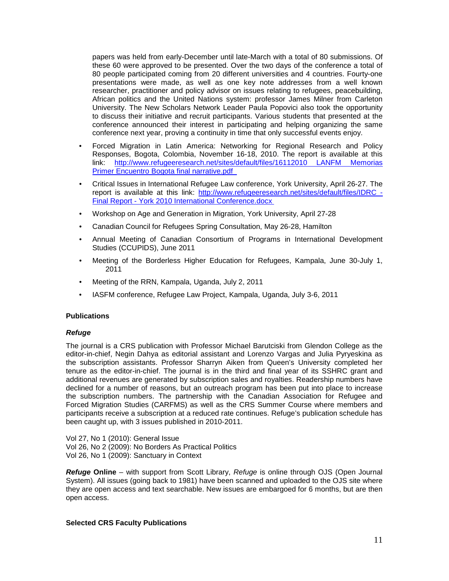papers was held from early-December until late-March with a total of 80 submissions. Of these 60 were approved to be presented. Over the two days of the conference a total of 80 people participated coming from 20 different universities and 4 countries. Fourty-one presentations were made, as well as one key note addresses from a well known researcher, practitioner and policy advisor on issues relating to refugees, peacebuilding, African politics and the United Nations system: professor James Milner from Carleton University. The New Scholars Network Leader Paula Popovici also took the opportunity to discuss their initiative and recruit participants. Various students that presented at the conference announced their interest in participating and helping organizing the same conference next year, proving a continuity in time that only successful events enjoy.

- Forced Migration in Latin America: Networking for Regional Research and Policy Responses, Bogota, Colombia, November 16-18, 2010. The report is available at this link: http://www.refugeeresearch.net/sites/default/files/16112010 LANFM Memorias [Primer Encuentro Bogota final narrative.pdf](http://www.refugeeresearch.net/sites/default/files/16112010%20LANFM%20Memorias%20Primer%20Encuentro%20Bogota%20final%20narrative.pdf)
- Critical Issues in International Refugee Law conference, York University, April 26-27. The report is available at this link: [http://www.refugeeresearch.net/sites/default/files/IDRC -](http://www.refugeeresearch.net/sites/default/files/IDRC%20-%20Final%20Report%20-%20York%202010%20International%20Conference.docx) Final Report - [York 2010 International Conference.docx](http://www.refugeeresearch.net/sites/default/files/IDRC%20-%20Final%20Report%20-%20York%202010%20International%20Conference.docx)
- Workshop on Age and Generation in Migration, York University, April 27-28
- Canadian Council for Refugees Spring Consultation, May 26-28, Hamilton
- Annual Meeting of Canadian Consortium of Programs in International Development Studies (CCUPIDS), June 2011
- Meeting of the Borderless Higher Education for Refugees, Kampala, June 30-July 1, 2011
- Meeting of the RRN, Kampala, Uganda, July 2, 2011
- IASFM conference, Refugee Law Project, Kampala, Uganda, July 3-6, 2011

#### **Publications**

#### *Refuge*

The journal is a CRS publication with Professor Michael Barutciski from Glendon College as the editor-in-chief, Negin Dahya as editorial assistant and Lorenzo Vargas and Julia Pyryeskina as the subscription assistants. Professor Sharryn Aiken from Queen's University completed her tenure as the editor-in-chief. The journal is in the third and final year of its SSHRC grant and additional revenues are generated by subscription sales and royalties. Readership numbers have declined for a number of reasons, but an outreach program has been put into place to increase the subscription numbers. The partnership with the Canadian Association for Refugee and Forced Migration Studies (CARFMS) as well as the CRS Summer Course where members and participants receive a subscription at a reduced rate continues. Refuge's publication schedule has been caught up, with 3 issues published in 2010-2011.

Vol 27, No 1 (2010): General Issue Vol 26, No 2 (2009): No Borders As Practical Politics Vol 26, No 1 (2009): Sanctuary in Context

*Refuge* **Online** – with support from Scott Library, *Refuge* is online through OJS (Open Journal System). All issues (going back to 1981) have been scanned and uploaded to the OJS site where they are open access and text searchable. New issues are embargoed for 6 months, but are then open access.

#### **Selected CRS Faculty Publications**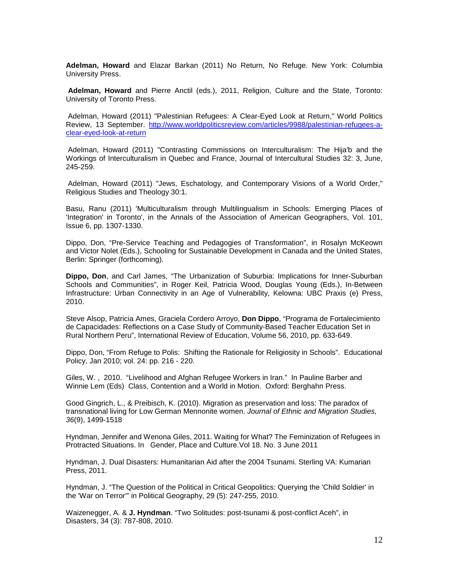**Adelman, Howard** and Elazar Barkan (2011) No Return, No Refuge. New York: Columbia University Press.

**Adelman, Howard** and Pierre Anctil (eds.), 2011, Religion, Culture and the State, Toronto: University of Toronto Press.

Adelman, Howard (2011) "Palestinian Refugees: A Clear-Eyed Look at Return," World Politics Review, 13 September. [http://www.worldpoliticsreview.com/articles/9988/palestinian-refugees-a](http://www.worldpoliticsreview.com/articles/9988/palestinian-refugees-a-clear-eyed-look-at-return)[clear-eyed-look-at-return](http://www.worldpoliticsreview.com/articles/9988/palestinian-refugees-a-clear-eyed-look-at-return)

Adelman, Howard (2011) "Contrasting Commissions on Interculturalism: The Hija'b and the Workings of Interculturalism in Quebec and France, Journal of Intercultural Studies 32: 3, June, 245-259.

Adelman, Howard (2011) "Jews, Eschatology, and Contemporary Visions of a World Order," Religious Studies and Theology 30:1.

Basu, Ranu (2011) 'Multiculturalism through Multilingualism in Schools: Emerging Places of 'Integration' in Toronto', in the Annals of the Association of American Geographers, Vol. 101, Issue 6, pp. 1307-1330.

Dippo, Don, "Pre-Service Teaching and Pedagogies of Transformation", in Rosalyn McKeown and Victor Nolet (Eds.), Schooling for Sustainable Development in Canada and the United States, Berlin: Springer (forthcoming).

**Dippo, Don**, and Carl James, "The Urbanization of Suburbia: Implications for Inner-Suburban Schools and Communities", in Roger Keil, Patricia Wood, Douglas Young (Eds.), In-Between Infrastructure: Urban Connectivity in an Age of Vulnerability, Kelowna: UBC Praxis (e) Press, 2010.

Steve Alsop, Patricia Ames, Graciela Cordero Arroyo, **Don Dippo**, "Programa de Fortalecimiento de Capacidades: Reflections on a Case Study of Community-Based Teacher Education Set in Rural Northern Peru", International Review of Education, Volume 56, 2010, pp. 633-649.

Dippo, Don, "From Refuge to Polis: Shifting the Rationale for Religiosity in Schools". Educational Policy, Jan 2010; vol. 24: pp. 216 - 220.

Giles, W. , 2010. "Livelihood and Afghan Refugee Workers in Iran." In Pauline Barber and Winnie Lem (Eds) Class, Contention and a World in Motion. Oxford: Berghahn Press.

Good Gingrich, L., & Preibisch, K. (2010). Migration as preservation and loss: The paradox of transnational living for Low German Mennonite women. *Journal of Ethnic and Migration Studies, 36*(9), 1499-1518

Hyndman, Jennifer and Wenona Giles, 2011. Waiting for What? The Feminization of Refugees in Protracted Situations. In Gender, Place and Culture.Vol 18. No. 3 June 2011

Hyndman, J. Dual Disasters: Humanitarian Aid after the 2004 Tsunami. Sterling VA: Kumarian Press, 2011.

Hyndman, J. "The Question of the Political in Critical Geopolitics: Querying the 'Child Soldier' in the 'War on Terror'" in Political Geography, 29 (5): 247-255, 2010.

Waizenegger, A. & **J. Hyndman**. "Two Solitudes: post-tsunami & post-conflict Aceh", in Disasters, 34 (3): 787-808, 2010.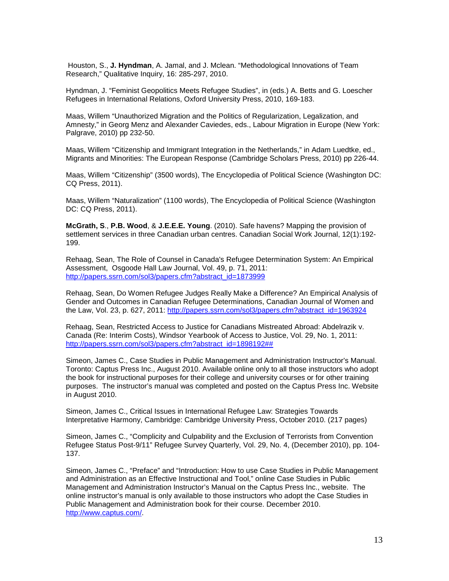Houston, S., **J. Hyndman**, A. Jamal, and J. Mclean. "Methodological Innovations of Team Research," Qualitative Inquiry, 16: 285-297, 2010.

Hyndman, J. "Feminist Geopolitics Meets Refugee Studies", in (eds.) A. Betts and G. Loescher Refugees in International Relations, Oxford University Press, 2010, 169-183.

Maas, Willem "Unauthorized Migration and the Politics of Regularization, Legalization, and Amnesty," in Georg Menz and Alexander Caviedes, eds., Labour Migration in Europe (New York: Palgrave, 2010) pp 232-50.

Maas, Willem "Citizenship and Immigrant Integration in the Netherlands," in Adam Luedtke, ed., Migrants and Minorities: The European Response (Cambridge Scholars Press, 2010) pp 226-44.

Maas, Willem "Citizenship" (3500 words), The Encyclopedia of Political Science (Washington DC: CQ Press, 2011).

Maas, Willem "Naturalization" (1100 words), The Encyclopedia of Political Science (Washington DC: CQ Press, 2011).

**McGrath, S**., **P.B. Wood**, & **J.E.E.E. Young**. (2010). Safe havens? Mapping the provision of settlement services in three Canadian urban centres. Canadian Social Work Journal, 12(1):192- 199.

Rehaag, Sean, The Role of Counsel in Canada's Refugee Determination System: An Empirical Assessment, Osgoode Hall Law Journal, Vol. 49, p. 71, 2011: [http://papers.ssrn.com/sol3/papers.cfm?abstract\\_id=1873999](http://papers.ssrn.com/sol3/papers.cfm?abstract_id=1873999)

Rehaag, Sean, Do Women Refugee Judges Really Make a Difference? An Empirical Analysis of Gender and Outcomes in Canadian Refugee Determinations, Canadian Journal of Women and the Law, Vol. 23, p. 627, 2011: [http://papers.ssrn.com/sol3/papers.cfm?abstract\\_id=1963924](http://papers.ssrn.com/sol3/papers.cfm?abstract_id=1963924)

Rehaag, Sean, Restricted Access to Justice for Canadians Mistreated Abroad: Abdelrazik v. Canada (Re: Interim Costs), Windsor Yearbook of Access to Justice, Vol. 29, No. 1, 2011: [http://papers.ssrn.com/sol3/papers.cfm?abstract\\_id=1898192##](http://papers.ssrn.com/sol3/papers.cfm?abstract_id=1898192##)

Simeon, James C., Case Studies in Public Management and Administration Instructor's Manual. Toronto: Captus Press Inc., August 2010. Available online only to all those instructors who adopt the book for instructional purposes for their college and university courses or for other training purposes. The instructor's manual was completed and posted on the Captus Press Inc. Website in August 2010.

Simeon, James C., Critical Issues in International Refugee Law: Strategies Towards Interpretative Harmony, Cambridge: Cambridge University Press, October 2010. (217 pages)

Simeon, James C., "Complicity and Culpability and the Exclusion of Terrorists from Convention Refugee Status Post-9/11" Refugee Survey Quarterly, Vol. 29, No. 4, (December 2010), pp. 104- 137.

Simeon, James C., "Preface" and "Introduction: How to use Case Studies in Public Management and Administration as an Effective Instructional and Tool," online Case Studies in Public Management and Administration Instructor's Manual on the Captus Press Inc., website. The online instructor's manual is only available to those instructors who adopt the Case Studies in Public Management and Administration book for their course. December 2010. [http://www.captus.com/.](http://www.captus.com/)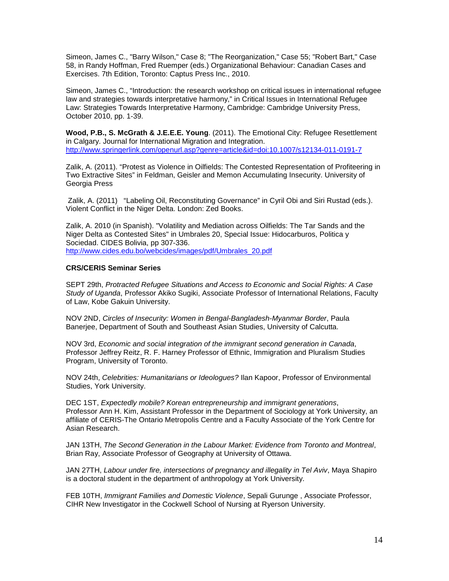Simeon, James C., "Barry Wilson," Case 8; "The Reorganization," Case 55; "Robert Bart," Case 58, in Randy Hoffman, Fred Ruemper (eds.) Organizational Behaviour: Canadian Cases and Exercises. 7th Edition, Toronto: Captus Press Inc., 2010.

Simeon, James C., "Introduction: the research workshop on critical issues in international refugee law and strategies towards interpretative harmony," in Critical Issues in International Refugee Law: Strategies Towards Interpretative Harmony, Cambridge: Cambridge University Press, October 2010, pp. 1-39.

**Wood, P.B., S. McGrath & J.E.E.E. Young**. (2011). The Emotional City: Refugee Resettlement in Calgary. Journal for International Migration and Integration. <http://www.springerlink.com/openurl.asp?genre=article&id=doi:10.1007/s12134-011-0191-7>

Zalik, A. (2011). "Protest as Violence in Oilfields: The Contested Representation of Profiteering in Two Extractive Sites" in Feldman, Geisler and Memon Accumulating Insecurity. University of Georgia Press

Zalik, A. (2011) "Labeling Oil, Reconstituting Governance" in Cyril Obi and Siri Rustad (eds.). Violent Conflict in the Niger Delta. London: Zed Books.

Zalik, A. 2010 (in Spanish). "Volatility and Mediation across Oilfields: The Tar Sands and the Niger Delta as Contested Sites" in Umbrales 20, Special Issue: Hidocarburos, Politica y Sociedad. CIDES Bolivia, pp 307-336. [http://www.cides.edu.bo/webcides/images/pdf/Umbrales\\_20.pdf](http://www.cides.edu.bo/webcides/images/pdf/Umbrales_20.pdf)

#### **CRS/CERIS Seminar Series**

SEPT 29th, *Protracted Refugee Situations and Access to Economic and Social Rights: A Case Study of Uganda*, Professor Akiko Sugiki, Associate Professor of International Relations, Faculty of Law, Kobe Gakuin University.

NOV 2ND, *Circles of Insecurity: Women in Bengal-Bangladesh-Myanmar Border*, Paula Banerjee, Department of South and Southeast Asian Studies, University of Calcutta.

NOV 3rd, *Economic and social integration of the immigrant second generation in Canada*, Professor Jeffrey Reitz, R. F. Harney Professor of Ethnic, Immigration and Pluralism Studies Program, University of Toronto.

NOV 24th, *Celebrities: Humanitarians or Ideologues?* Ilan Kapoor, Professor of Environmental Studies, York University.

DEC 1ST, *Expectedly mobile? Korean entrepreneurship and immigrant generations*, Professor Ann H. Kim, Assistant Professor in the Department of Sociology at York University, an affiliate of CERIS-The Ontario Metropolis Centre and a Faculty Associate of the York Centre for Asian Research.

JAN 13TH, *The Second Generation in the Labour Market: Evidence from Toronto and Montreal*, Brian Ray, Associate Professor of Geography at University of Ottawa.

JAN 27TH, *Labour under fire, intersections of pregnancy and illegality in Tel Aviv*, Maya Shapiro is a doctoral student in the department of anthropology at York University.

FEB 10TH, *Immigrant Families and Domestic Violence*, Sepali Gurunge , Associate Professor, CIHR New Investigator in the Cockwell School of Nursing at Ryerson University.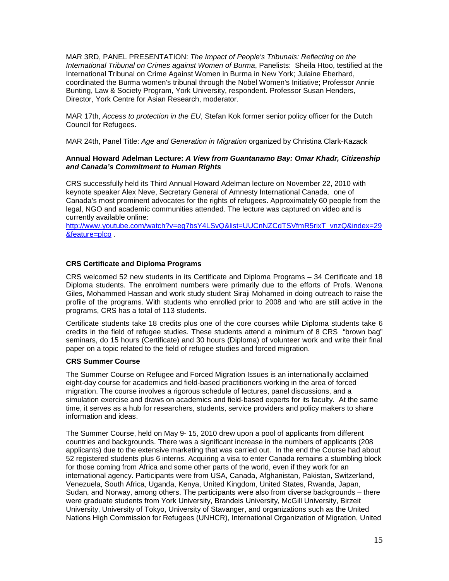MAR 3RD, PANEL PRESENTATION: *The Impact of People's Tribunals: Reflecting on the International Tribunal on Crimes against Women of Burma*, Panelists: Sheila Htoo, testified at the International Tribunal on Crime Against Women in Burma in New York; Julaine Eberhard, coordinated the Burma women's tribunal through the Nobel Women's Initiative; Professor Annie Bunting, Law & Society Program, York University, respondent. Professor Susan Henders, Director, York Centre for Asian Research, moderator.

MAR 17th, *Access to protection in the EU*, Stefan Kok former senior policy officer for the Dutch Council for Refugees.

MAR 24th, Panel Title: *Age and Generation in Migration* organized by Christina Clark-Kazack

## **Annual Howard Adelman Lecture:** *A View from Guantanamo Bay: Omar Khadr, Citizenship and Canada's Commitment to Human Rights*

CRS successfully held its Third Annual Howard Adelman lecture on November 22, 2010 with keynote speaker Alex Neve, Secretary General of Amnesty International Canada. one of Canada's most prominent advocates for the rights of refugees. Approximately 60 people from the legal, NGO and academic communities attended. The lecture was captured on video and is currently available online:

[http://www.youtube.com/watch?v=eg7bsY4LSvQ&list=UUCnNZCdTSVfmR5rixT\\_vnzQ&index=29](http://www.youtube.com/watch?v=eg7bsY4LSvQ&list=UUCnNZCdTSVfmR5rixT_vnzQ&index=29&feature=plcp) [&feature=plcp](http://www.youtube.com/watch?v=eg7bsY4LSvQ&list=UUCnNZCdTSVfmR5rixT_vnzQ&index=29&feature=plcp) .

## **CRS Certificate and Diploma Programs**

CRS welcomed 52 new students in its Certificate and Diploma Programs – 34 Certificate and 18 Diploma students. The enrolment numbers were primarily due to the efforts of Profs. Wenona Giles, Mohammed Hassan and work study student Siraji Mohamed in doing outreach to raise the profile of the programs. With students who enrolled prior to 2008 and who are still active in the programs, CRS has a total of 113 students.

Certificate students take 18 credits plus one of the core courses while Diploma students take 6 credits in the field of refugee studies. These students attend a minimum of 8 CRS "brown bag" seminars, do 15 hours (Certificate) and 30 hours (Diploma) of volunteer work and write their final paper on a topic related to the field of refugee studies and forced migration.

#### **CRS Summer Course**

The Summer Course on Refugee and Forced Migration Issues is an internationally acclaimed eight-day course for academics and field-based practitioners working in the area of forced migration. The course involves a rigorous schedule of lectures, panel discussions, and a simulation exercise and draws on academics and field-based experts for its faculty. At the same time, it serves as a hub for researchers, students, service providers and policy makers to share information and ideas.

The Summer Course, held on May 9- 15, 2010 drew upon a pool of applicants from different countries and backgrounds. There was a significant increase in the numbers of applicants (208 applicants) due to the extensive marketing that was carried out. In the end the Course had about 52 registered students plus 6 interns. Acquiring a visa to enter Canada remains a stumbling block for those coming from Africa and some other parts of the world, even if they work for an international agency. Participants were from USA, Canada, Afghanistan, Pakistan, Switzerland, Venezuela, South Africa, Uganda, Kenya, United Kingdom, United States, Rwanda, Japan, Sudan, and Norway, among others. The participants were also from diverse backgrounds – there were graduate students from York University, Brandeis University, McGill University, Birzeit University, University of Tokyo, University of Stavanger, and organizations such as the United Nations High Commission for Refugees (UNHCR), International Organization of Migration, United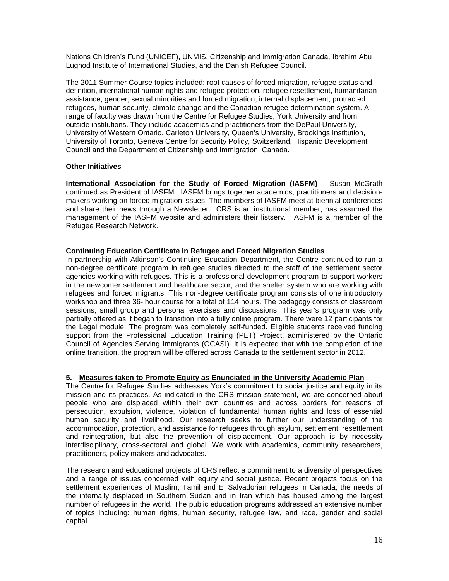Nations Children's Fund (UNICEF), UNMIS, Citizenship and Immigration Canada, Ibrahim Abu Lughod Institute of International Studies, and the Danish Refugee Council.

The 2011 Summer Course topics included: root causes of forced migration, refugee status and definition, international human rights and refugee protection, refugee resettlement, humanitarian assistance, gender, sexual minorities and forced migration, internal displacement, protracted refugees, human security, climate change and the Canadian refugee determination system. A range of faculty was drawn from the Centre for Refugee Studies, York University and from outside institutions. They include academics and practitioners from the DePaul University, University of Western Ontario, Carleton University, Queen's University, Brookings Institution, University of Toronto, Geneva Centre for Security Policy, Switzerland, Hispanic Development Council and the Department of Citizenship and Immigration, Canada.

## **Other Initiatives**

**International Association for the Study of Forced Migration (IASFM)** – Susan McGrath continued as President of IASFM. IASFM brings together academics, practitioners and decisionmakers working on forced migration issues. The members of IASFM meet at biennial conferences and share their news through a Newsletter. CRS is an institutional member, has assumed the management of the IASFM website and administers their listserv. IASFM is a member of the Refugee Research Network.

## **Continuing Education Certificate in Refugee and Forced Migration Studies**

In partnership with Atkinson's Continuing Education Department, the Centre continued to run a non-degree certificate program in refugee studies directed to the staff of the settlement sector agencies working with refugees. This is a professional development program to support workers in the newcomer settlement and healthcare sector, and the shelter system who are working with refugees and forced migrants. This non-degree certificate program consists of one introductory workshop and three 36- hour course for a total of 114 hours. The pedagogy consists of classroom sessions, small group and personal exercises and discussions. This year's program was only partially offered as it began to transition into a fully online program. There were 12 participants for the Legal module. The program was completely self-funded. Eligible students received funding support from the Professional Education Training (PET) Project, administered by the Ontario Council of Agencies Serving Immigrants (OCASI). It is expected that with the completion of the online transition, the program will be offered across Canada to the settlement sector in 2012.

## **5. Measures taken to Promote Equity as Enunciated in the University Academic Plan**

The Centre for Refugee Studies addresses York's commitment to social justice and equity in its mission and its practices. As indicated in the CRS mission statement, we are concerned about people who are displaced within their own countries and across borders for reasons of persecution, expulsion, violence, violation of fundamental human rights and loss of essential human security and livelihood. Our research seeks to further our understanding of the accommodation, protection, and assistance for refugees through asylum, settlement, resettlement and reintegration, but also the prevention of displacement. Our approach is by necessity interdisciplinary, cross-sectoral and global. We work with academics, community researchers, practitioners, policy makers and advocates.

The research and educational projects of CRS reflect a commitment to a diversity of perspectives and a range of issues concerned with equity and social justice. Recent projects focus on the settlement experiences of Muslim, Tamil and El Salvadorian refugees in Canada, the needs of the internally displaced in Southern Sudan and in Iran which has housed among the largest number of refugees in the world. The public education programs addressed an extensive number of topics including: human rights, human security, refugee law, and race, gender and social capital.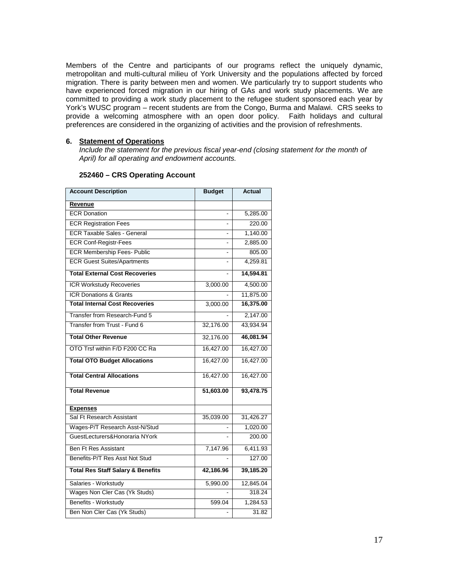Members of the Centre and participants of our programs reflect the uniquely dynamic, metropolitan and multi-cultural milieu of York University and the populations affected by forced migration. There is parity between men and women. We particularly try to support students who have experienced forced migration in our hiring of GAs and work study placements. We are committed to providing a work study placement to the refugee student sponsored each year by York's WUSC program – recent students are from the Congo, Burma and Malawi. CRS seeks to provide a welcoming atmosphere with an open door policy. Faith holidays and cultural preferences are considered in the organizing of activities and the provision of refreshments.

#### **6. Statement of Operations**

*Include the statement for the previous fiscal year-end (closing statement for the month of April) for all operating and endowment accounts.*

| <b>Account Description</b>                   | <b>Budget</b>  | <b>Actual</b> |
|----------------------------------------------|----------------|---------------|
| Revenue                                      |                |               |
| <b>ECR Donation</b>                          |                | 5,285.00      |
| <b>ECR Registration Fees</b>                 |                | 220.00        |
| <b>ECR Taxable Sales - General</b>           | $\overline{a}$ | 1,140.00      |
| <b>ECR Conf-Registr-Fees</b>                 |                | 2,885.00      |
| <b>ECR Membership Fees- Public</b>           |                | 805.00        |
| <b>ECR Guest Suites/Apartments</b>           |                | 4,259.81      |
| <b>Total External Cost Recoveries</b>        |                | 14,594.81     |
| ICR Workstudy Recoveries                     | 3,000.00       | 4,500.00      |
| <b>ICR Donations &amp; Grants</b>            |                | 11,875.00     |
| <b>Total Internal Cost Recoveries</b>        | 3,000.00       | 16,375.00     |
| Transfer from Research-Fund 5                |                | 2,147.00      |
| Transfer from Trust - Fund 6                 | 32,176.00      | 43,934.94     |
| <b>Total Other Revenue</b>                   | 32,176.00      | 46,081.94     |
| OTO Trsf within F/D F200 CC Ra               | 16,427.00      | 16,427.00     |
| <b>Total OTO Budget Allocations</b>          | 16,427.00      | 16,427.00     |
| <b>Total Central Allocations</b>             | 16,427.00      | 16,427.00     |
| <b>Total Revenue</b>                         | 51,603.00      | 93,478.75     |
| <b>Expenses</b>                              |                |               |
| Sal Ft Research Assistant                    | 35,039.00      | 31,426.27     |
| Wages-P/T Research Asst-N/Stud               |                | 1,020.00      |
| GuestLecturers&Honoraria NYork               |                | 200.00        |
| <b>Ben Ft Res Assistant</b>                  | 7,147.96       | 6,411.93      |
| Benefits-P/T Res Asst Not Stud               |                | 127.00        |
| <b>Total Res Staff Salary &amp; Benefits</b> | 42,186.96      | 39,185.20     |
| Salaries - Workstudy                         | 5,990.00       | 12,845.04     |
| Wages Non Cler Cas (Yk Studs)                |                | 318.24        |
| Benefits - Workstudy                         | 599.04         | 1,284.53      |
| Ben Non Cler Cas (Yk Studs)                  |                | 31.82         |

### **252460 – CRS Operating Account**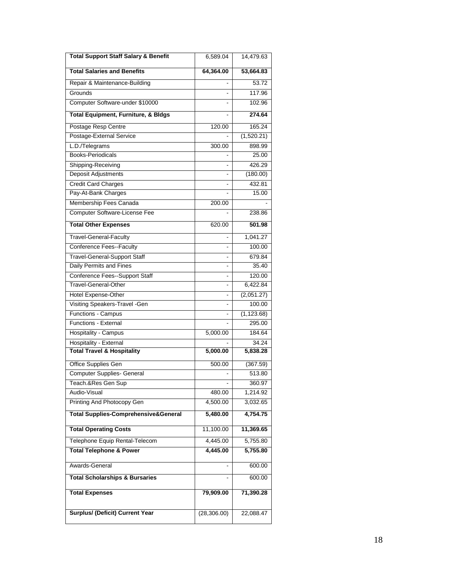| <b>Total Support Staff Salary &amp; Benefit</b> | 6,589.04                 | 14,479.63   |
|-------------------------------------------------|--------------------------|-------------|
| <b>Total Salaries and Benefits</b>              | 64,364.00                | 53,664.83   |
| Repair & Maintenance-Building                   |                          | 53.72       |
| Grounds                                         |                          | 117.96      |
| Computer Software-under \$10000                 |                          | 102.96      |
| <b>Total Equipment, Furniture, &amp; Bldgs</b>  |                          | 274.64      |
| Postage Resp Centre                             | 120.00                   | 165.24      |
| Postage-External Service                        |                          | (1,520.21)  |
| L.D./Telegrams                                  | 300.00                   | 898.99      |
| <b>Books-Periodicals</b>                        |                          | 25.00       |
| Shipping-Receiving                              |                          | 426.29      |
| <b>Deposit Adjustments</b>                      |                          | (180.00)    |
| <b>Credit Card Charges</b>                      |                          | 432.81      |
| Pay-At-Bank Charges                             |                          | 15.00       |
| Membership Fees Canada                          | 200.00                   |             |
| Computer Software-License Fee                   |                          | 238.86      |
| <b>Total Other Expenses</b>                     | 620.00                   | 501.98      |
| Travel-General-Faculty                          |                          | 1,041.27    |
| <b>Conference Fees--Faculty</b>                 |                          | 100.00      |
| <b>Travel-General-Support Staff</b>             | -                        | 679.84      |
| Daily Permits and Fines                         | $\overline{\phantom{0}}$ | 35.40       |
| <b>Conference Fees--Support Staff</b>           |                          | 120.00      |
| <b>Travel-General-Other</b>                     |                          | 6,422.84    |
| <b>Hotel Expense-Other</b>                      |                          | (2,051.27)  |
| Visiting Speakers-Travel -Gen                   |                          | 100.00      |
| Functions - Campus                              |                          | (1, 123.68) |
| Functions - External                            |                          | 295.00      |
| <b>Hospitality - Campus</b>                     | 5,000.00                 | 184.64      |
| Hospitality - External                          |                          | 34.24       |
| <b>Total Travel &amp; Hospitality</b>           | 5,000.00                 | 5,838.28    |
| Office Supplies Gen                             | 500.00                   | (367.59)    |
| <b>Computer Supplies- General</b>               |                          | 513.80      |
| Teach.&Res Gen Sup                              |                          | 360.97      |
| Audio-Visual                                    | 480.00                   | 1,214.92    |
| Printing And Photocopy Gen                      | 4,500.00                 | 3,032.65    |
| <b>Total Supplies-Comprehensive&amp;General</b> | 5,480.00                 | 4,754.75    |
| <b>Total Operating Costs</b>                    | 11,100.00                | 11,369.65   |
| Telephone Equip Rental-Telecom                  | 4,445.00                 | 5,755.80    |
| <b>Total Telephone &amp; Power</b>              | 4,445.00                 | 5,755.80    |
| Awards-General                                  |                          | 600.00      |
| <b>Total Scholarships &amp; Bursaries</b>       |                          | 600.00      |
| <b>Total Expenses</b>                           | 79,909.00                | 71,390.28   |
| <b>Surplus/ (Deficit) Current Year</b>          | (28, 306.00)             | 22,088.47   |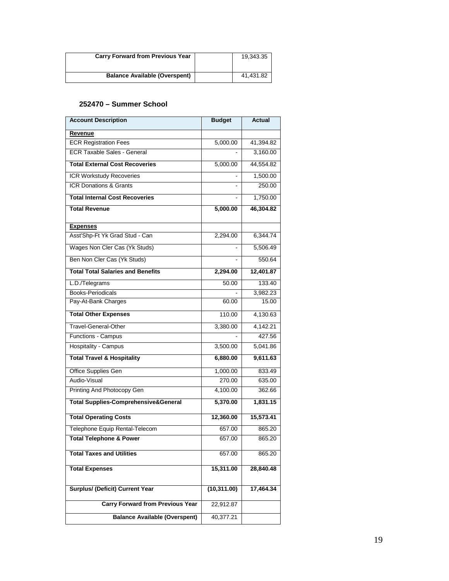| <b>Carry Forward from Previous Year</b> | 19,343.35 |
|-----------------------------------------|-----------|
| <b>Balance Available (Overspent)</b>    | 41,431.82 |

## **252470 – Summer School**

| <b>Account Description</b>                      | <b>Budget</b> | <b>Actual</b> |
|-------------------------------------------------|---------------|---------------|
| Revenue                                         |               |               |
| <b>ECR Registration Fees</b>                    | 5,000.00      | 41,394.82     |
| <b>ECR Taxable Sales - General</b>              |               | 3,160.00      |
| <b>Total External Cost Recoveries</b>           | 5,000.00      | 44,554.82     |
| <b>ICR Workstudy Recoveries</b>                 |               | 1,500.00      |
| <b>ICR Donations &amp; Grants</b>               |               | 250.00        |
| <b>Total Internal Cost Recoveries</b>           |               | 1,750.00      |
| <b>Total Revenue</b>                            | 5,000.00      | 46,304.82     |
| <b>Expenses</b>                                 |               |               |
| Asst'Shp-Ft Yk Grad Stud - Can                  | 2,294.00      | 6,344.74      |
| Wages Non Cler Cas (Yk Studs)                   |               | 5,506.49      |
| Ben Non Cler Cas (Yk Studs)                     |               | 550.64        |
| <b>Total Total Salaries and Benefits</b>        | 2,294.00      | 12,401.87     |
| L.D./Telegrams                                  | 50.00         | 133.40        |
| <b>Books-Periodicals</b>                        |               | 3,982.23      |
| Pay-At-Bank Charges                             | 60.00         | 15.00         |
| <b>Total Other Expenses</b>                     | 110.00        | 4,130.63      |
| Travel-General-Other                            | 3,380.00      | 4,142.21      |
| Functions - Campus                              |               | 427.56        |
| Hospitality - Campus                            | 3,500.00      | 5,041.86      |
| <b>Total Travel &amp; Hospitality</b>           | 6,880.00      | 9,611.63      |
| Office Supplies Gen                             | 1,000.00      | 833.49        |
| Audio-Visual                                    | 270.00        | 635.00        |
| Printing And Photocopy Gen                      | 4,100.00      | 362.66        |
| <b>Total Supplies-Comprehensive&amp;General</b> | 5,370.00      | 1,831.15      |
| <b>Total Operating Costs</b>                    | 12,360.00     | 15,573.41     |
| Telephone Equip Rental-Telecom                  | 657.00        | 865.20        |
| <b>Total Telephone &amp; Power</b>              | 657.00        | 865.20        |
| <b>Total Taxes and Utilities</b>                | 657.00        | 865.20        |
| <b>Total Expenses</b>                           | 15,311.00     | 28,840.48     |
| <b>Surplus/ (Deficit) Current Year</b>          | (10, 311.00)  | 17,464.34     |
| <b>Carry Forward from Previous Year</b>         | 22,912.87     |               |
| <b>Balance Available (Overspent)</b>            | 40,377.21     |               |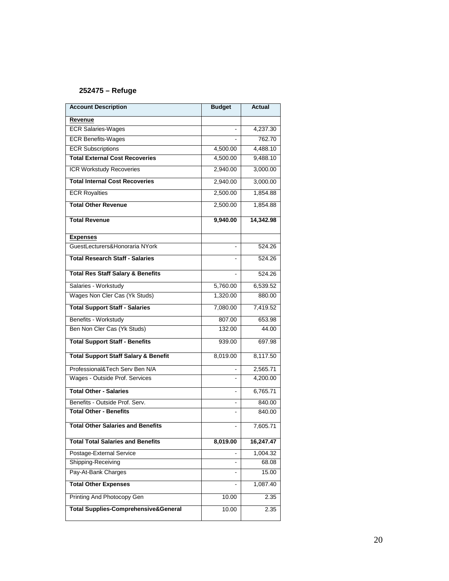# **252475 – Refuge**

| <b>Account Description</b>                      | <b>Budget</b>  | <b>Actual</b> |
|-------------------------------------------------|----------------|---------------|
| <b>Revenue</b>                                  |                |               |
| <b>ECR Salaries-Wages</b>                       |                | 4,237.30      |
| <b>ECR Benefits-Wages</b>                       |                | 762.70        |
| <b>ECR Subscriptions</b>                        | 4,500.00       | 4,488.10      |
| <b>Total External Cost Recoveries</b>           | 4,500.00       | 9,488.10      |
| ICR Workstudy Recoveries                        | 2,940.00       | 3,000.00      |
| <b>Total Internal Cost Recoveries</b>           | 2,940.00       | 3,000.00      |
| <b>ECR Royalties</b>                            | 2,500.00       | 1,854.88      |
| <b>Total Other Revenue</b>                      | 2,500.00       | 1,854.88      |
| <b>Total Revenue</b>                            | 9,940.00       | 14,342.98     |
| <b>Expenses</b>                                 |                |               |
| GuestLecturers&Honoraria NYork                  |                | 524.26        |
| <b>Total Research Staff - Salaries</b>          | ۰              | 524.26        |
| <b>Total Res Staff Salary &amp; Benefits</b>    |                | 524.26        |
| Salaries - Workstudy                            | 5,760.00       | 6,539.52      |
| Wages Non Cler Cas (Yk Studs)                   | 1,320.00       | 880.00        |
| <b>Total Support Staff - Salaries</b>           | 7,080.00       | 7,419.52      |
| Benefits - Workstudy                            | 807.00         | 653.98        |
| Ben Non Cler Cas (Yk Studs)                     | 132.00         | 44.00         |
| <b>Total Support Staff - Benefits</b>           | 939.00         | 697.98        |
| <b>Total Support Staff Salary &amp; Benefit</b> | 8,019.00       | 8,117.50      |
| Professional&Tech Serv Ben N/A                  |                | 2,565.71      |
| Wages - Outside Prof. Services                  |                | 4,200.00      |
| <b>Total Other - Salaries</b>                   |                | 6,765.71      |
| Benefits - Outside Prof. Serv.                  | $\blacksquare$ | 840.00        |
| <b>Total Other - Benefits</b>                   |                | 840.00        |
| <b>Total Other Salaries and Benefits</b>        | ÷              | 7,605.71      |
| <b>Total Total Salaries and Benefits</b>        | 8,019.00       | 16,247.47     |
| Postage-External Service                        |                | 1,004.32      |
| Shipping-Receiving                              |                | 68.08         |
| Pay-At-Bank Charges                             |                | 15.00         |
| <b>Total Other Expenses</b>                     |                | 1,087.40      |
| Printing And Photocopy Gen                      | 10.00          | 2.35          |
| <b>Total Supplies-Comprehensive&amp;General</b> | 10.00          | 2.35          |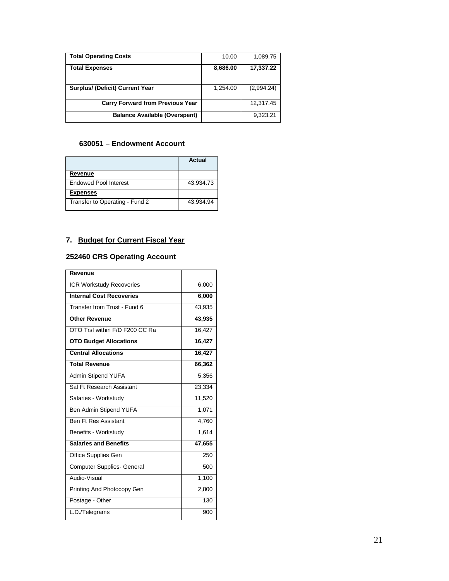| <b>Total Operating Costs</b>            | 10.00    | 1,089.75   |
|-----------------------------------------|----------|------------|
| <b>Total Expenses</b>                   | 8,686.00 | 17,337.22  |
| <b>Surplus/ (Deficit) Current Year</b>  | 1,254.00 | (2,994.24) |
| <b>Carry Forward from Previous Year</b> |          | 12,317.45  |
| <b>Balance Available (Overspent)</b>    |          | 9,323.21   |

## **630051 – Endowment Account**

|                                | Actual    |
|--------------------------------|-----------|
| Revenue                        |           |
| <b>Endowed Pool Interest</b>   | 43,934.73 |
| <b>Expenses</b>                |           |
| Transfer to Operating - Fund 2 | 43,934.94 |

# **7. Budget for Current Fiscal Year**

# **252460 CRS Operating Account**

| Revenue                           |        |
|-----------------------------------|--------|
| <b>ICR Workstudy Recoveries</b>   | 6,000  |
| <b>Internal Cost Recoveries</b>   | 6,000  |
| Transfer from Trust - Fund 6      | 43,935 |
| <b>Other Revenue</b>              | 43,935 |
| OTO Trsf within F/D F200 CC Ra    | 16,427 |
| <b>OTO Budget Allocations</b>     | 16,427 |
| <b>Central Allocations</b>        | 16,427 |
| <b>Total Revenue</b>              | 66,362 |
| Admin Stipend YUFA                | 5,356  |
| Sal Ft Research Assistant         | 23,334 |
| Salaries - Workstudy              | 11,520 |
| Ben Admin Stipend YUFA            | 1,071  |
| <b>Ben Ft Res Assistant</b>       | 4,760  |
| Benefits - Workstudy              | 1,614  |
| <b>Salaries and Benefits</b>      | 47,655 |
| Office Supplies Gen               | 250    |
| <b>Computer Supplies- General</b> | 500    |
| Audio-Visual                      | 1,100  |
| Printing And Photocopy Gen        | 2,800  |
| Postage - Other                   | 130    |
| L.D./Telegrams                    | 900    |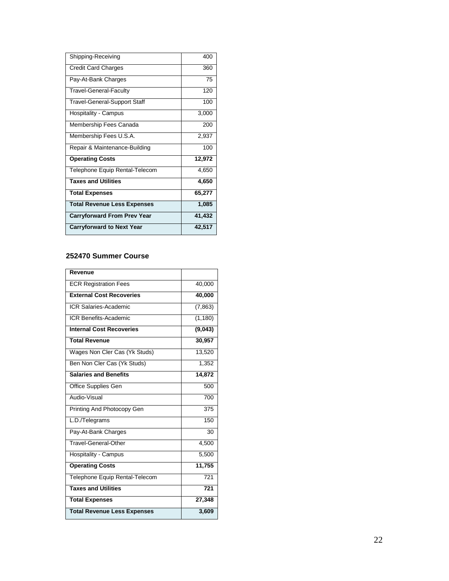| Shipping-Receiving                  | 400    |
|-------------------------------------|--------|
| <b>Credit Card Charges</b>          | 360    |
| Pay-At-Bank Charges                 | 75     |
| <b>Travel-General-Faculty</b>       | 120    |
| <b>Travel-General-Support Staff</b> | 100    |
| Hospitality - Campus                | 3,000  |
| Membership Fees Canada              | 200    |
| Membership Fees U.S.A.              | 2,937  |
| Repair & Maintenance-Building       | 100    |
| <b>Operating Costs</b>              | 12,972 |
| Telephone Equip Rental-Telecom      | 4,650  |
| <b>Taxes and Utilities</b>          | 4,650  |
| <b>Total Expenses</b>               | 65,277 |
| <b>Total Revenue Less Expenses</b>  | 1,085  |
| <b>Carryforward From Prev Year</b>  | 41,432 |
| <b>Carryforward to Next Year</b>    | 42,517 |

<u>and the state</u>

 $\overline{\phantom{0}}$ 

# **252470 Summer Course**

| Revenue                            |          |
|------------------------------------|----------|
| <b>ECR Registration Fees</b>       | 40,000   |
| <b>External Cost Recoveries</b>    | 40,000   |
| <b>ICR Salaries-Academic</b>       | (7, 863) |
| <b>ICR Benefits-Academic</b>       | (1, 180) |
| <b>Internal Cost Recoveries</b>    | (9,043)  |
| <b>Total Revenue</b>               | 30,957   |
| Wages Non Cler Cas (Yk Studs)      | 13,520   |
| Ben Non Cler Cas (Yk Studs)        | 1,352    |
| <b>Salaries and Benefits</b>       | 14,872   |
| Office Supplies Gen                | 500      |
| Audio-Visual                       | 700      |
| Printing And Photocopy Gen         | 375      |
| L.D./Telegrams                     | 150      |
| Pay-At-Bank Charges                | 30       |
| Travel-General-Other               | 4,500    |
| Hospitality - Campus               | 5,500    |
| <b>Operating Costs</b>             | 11,755   |
| Telephone Equip Rental-Telecom     | 721      |
| <b>Taxes and Utilities</b>         | 721      |
| <b>Total Expenses</b>              | 27,348   |
| <b>Total Revenue Less Expenses</b> | 3,609    |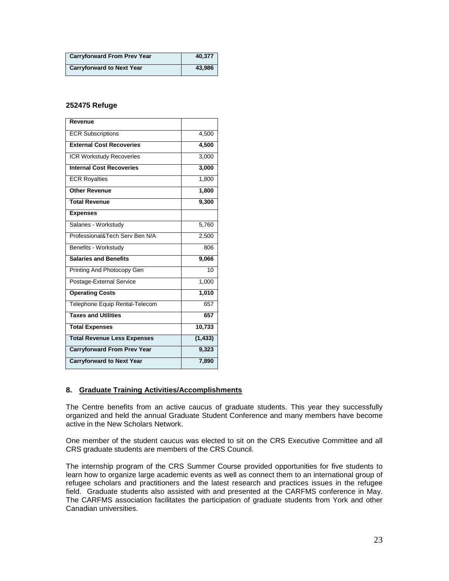| <b>Carryforward From Prev Year</b> | 40,377 |
|------------------------------------|--------|
| <b>Carryforward to Next Year</b>   | 43,986 |

## **252475 Refuge**

| Revenue                            |                 |
|------------------------------------|-----------------|
| <b>ECR Subscriptions</b>           | 4,500           |
| <b>External Cost Recoveries</b>    | 4,500           |
| <b>ICR Workstudy Recoveries</b>    | 3,000           |
| <b>Internal Cost Recoveries</b>    | 3,000           |
| <b>ECR Royalties</b>               | 1,800           |
| <b>Other Revenue</b>               | 1,800           |
| <b>Total Revenue</b>               | 9,300           |
| <b>Expenses</b>                    |                 |
| Salaries - Workstudy               | 5,760           |
| Professional&Tech Serv Ben N/A     | 2,500           |
| Benefits - Workstudy               | 806             |
| <b>Salaries and Benefits</b>       | 9,066           |
| Printing And Photocopy Gen         | $\overline{10}$ |
| Postage-External Service           | 1,000           |
| <b>Operating Costs</b>             | 1,010           |
| Telephone Equip Rental-Telecom     | 657             |
| <b>Taxes and Utilities</b>         | 657             |
| <b>Total Expenses</b>              | 10,733          |
| <b>Total Revenue Less Expenses</b> | (1, 433)        |
| <b>Carryforward From Prev Year</b> | 9,323           |
| <b>Carryforward to Next Year</b>   | 7,890           |

#### **8. Graduate Training Activities/Accomplishments**

The Centre benefits from an active caucus of graduate students. This year they successfully organized and held the annual Graduate Student Conference and many members have become active in the New Scholars Network.

One member of the student caucus was elected to sit on the CRS Executive Committee and all CRS graduate students are members of the CRS Council.

The internship program of the CRS Summer Course provided opportunities for five students to learn how to organize large academic events as well as connect them to an international group of refugee scholars and practitioners and the latest research and practices issues in the refugee field. Graduate students also assisted with and presented at the CARFMS conference in May. The CARFMS association facilitates the participation of graduate students from York and other Canadian universities.